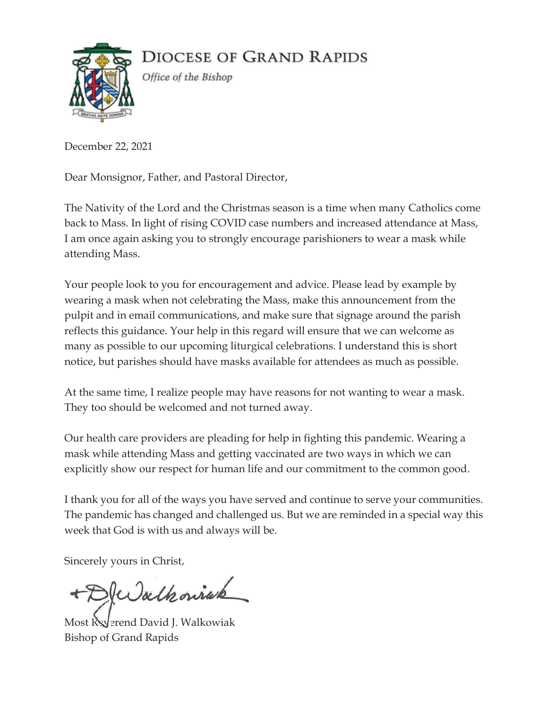**DIOCESE OF GRAND RAPIDS** 



Office of the Bishop

December 22, 2021

Dear Monsignor, Father, and Pastoral Director,

The Nativity of the Lord and the Christmas season is a time when many Catholics come back to Mass. In light of rising COVID case numbers and increased attendance at Mass, I am once again asking you to strongly encourage parishioners to wear a mask while attending Mass.

Your people look to you for encouragement and advice. Please lead by example by wearing a mask when not celebrating the Mass, make this announcement from the pulpit and in email communications, and make sure that signage around the parish reflects this guidance. Your help in this regard will ensure that we can welcome as many as possible to our upcoming liturgical celebrations. I understand this is short notice, but parishes should have masks available for attendees as much as possible.

At the same time, I realize people may have reasons for not wanting to wear a mask. They too should be welcomed and not turned away.

Our health care providers are pleading for help in fighting this pandemic. Wearing a mask while attending Mass and getting vaccinated are two ways in which we can explicitly show our respect for human life and our commitment to the common good.

I thank you for all of the ways you have served and continue to serve your communities. The pandemic has changed and challenged us. But we are reminded in a special way this week that God is with us and always will be.

Sincerely yours in Christ,

+DRWalkoniak

Most Ryerend David J. Walkowiak Bishop of Grand Rapids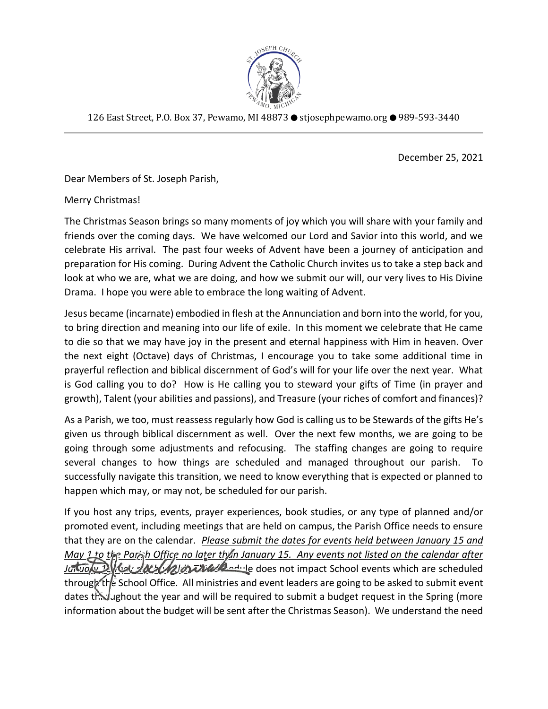

126 East Street, P.O. Box 37, Pewamo, MI 48873 ● stjosephpewamo.org ● 989-593-3440

December 25, 2021

Dear Members of St. Joseph Parish,

Merry Christmas!

The Christmas Season brings so many moments of joy which you will share with your family and friends over the coming days. We have welcomed our Lord and Savior into this world, and we celebrate His arrival. The past four weeks of Advent have been a journey of anticipation and preparation for His coming. During Advent the Catholic Church invites us to take a step back and look at who we are, what we are doing, and how we submit our will, our very lives to His Divine Drama. I hope you were able to embrace the long waiting of Advent.

Jesus became (incarnate) embodied in flesh at the Annunciation and born into the world, for you, to bring direction and meaning into our life of exile. In this moment we celebrate that He came to die so that we may have joy in the present and eternal happiness with Him in heaven. Over the next eight (Octave) days of Christmas, I encourage you to take some additional time in prayerful reflection and biblical discernment of God's will for your life over the next year. What is God calling you to do? How is He calling you to steward your gifts of Time (in prayer and growth), Talent (your abilities and passions), and Treasure (your riches of comfort and finances)?

As a Parish, we too, must reassess regularly how God is calling us to be Stewards of the gifts He's given us through biblical discernment as well. Over the next few months, we are going to be going through some adjustments and refocusing. The staffing changes are going to require several changes to how things are scheduled and managed throughout our parish. To successfully navigate this transition, we need to know everything that is expected or planned to happen which may, or may not, be scheduled for our parish.

If you host any trips, events, prayer experiences, book studies, or any type of planned and/or promoted event, including meetings that are held on campus, the Parish Office needs to ensure that they are on the calendar. *Please submit the dates for events held between January 15 and May 1 to the Parish Office no later than January 15. Any events not listed on the calendar after January 15 May 10 May 10 May 10 may 2 may 10* metas on timpact School events which are scheduled through the School Office. All ministries and event leaders are going to be asked to submit event dates throughout the year and will be required to submit a budget request in the Spring (more information about the budget will be sent after the Christmas Season). We understand the need